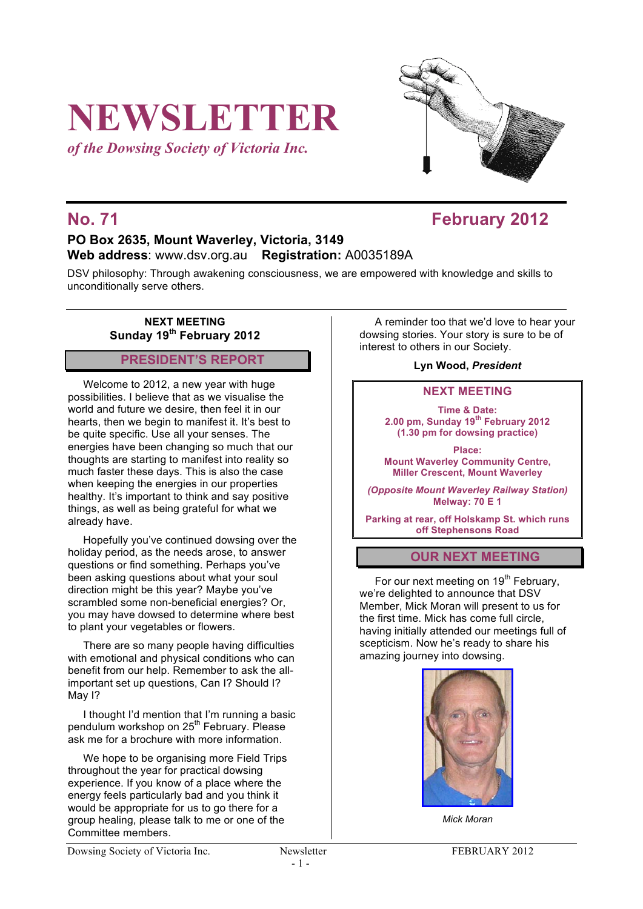# **NEWSLETTER**

*of the Dowsing Society of Victoria Inc.*



# **No. 71 February 2012**

## **PO Box 2635, Mount Waverley, Victoria, 3149 Web address**: www.dsv.org.au **Registration:** A0035189A

DSV philosophy: Through awakening consciousness, we are empowered with knowledge and skills to unconditionally serve others.

#### **NEXT MEETING Sunday 19th February 2012**

## **PRESIDENT'S REPORT**

Welcome to 2012, a new year with huge possibilities. I believe that as we visualise the world and future we desire, then feel it in our hearts, then we begin to manifest it. It's best to be quite specific. Use all your senses. The energies have been changing so much that our thoughts are starting to manifest into reality so much faster these days. This is also the case when keeping the energies in our properties healthy. It's important to think and say positive things, as well as being grateful for what we already have.

Hopefully you've continued dowsing over the holiday period, as the needs arose, to answer questions or find something. Perhaps you've been asking questions about what your soul direction might be this year? Maybe you've scrambled some non-beneficial energies? Or, you may have dowsed to determine where best to plant your vegetables or flowers.

There are so many people having difficulties with emotional and physical conditions who can benefit from our help. Remember to ask the allimportant set up questions, Can I? Should I? May I?

I thought I'd mention that I'm running a basic pendulum workshop on 25<sup>th</sup> February. Please ask me for a brochure with more information.

We hope to be organising more Field Trips throughout the year for practical dowsing experience. If you know of a place where the energy feels particularly bad and you think it would be appropriate for us to go there for a group healing, please talk to me or one of the Committee members.

A reminder too that we'd love to hear your dowsing stories. Your story is sure to be of interest to others in our Society.

### **Lyn Wood,** *President*

### **NEXT MEETING**

**Time & Date: 2.00 pm, Sunday 19th February 2012 (1.30 pm for dowsing practice)**

**Place: Mount Waverley Community Centre, Miller Crescent, Mount Waverley**

*(Opposite Mount Waverley Railway Station)* **Melway: 70 E 1**

**Parking at rear, off Holskamp St. which runs off Stephensons Road**

## **OUR NEXT MEETING**

For our next meeting on  $19<sup>th</sup>$  February, we're delighted to announce that DSV Member, Mick Moran will present to us for the first time. Mick has come full circle, having initially attended our meetings full of scepticism. Now he's ready to share his amazing journey into dowsing.



*Mick Moran*

Dowsing Society of Victoria Inc. Newsletter FEBRUARY 2012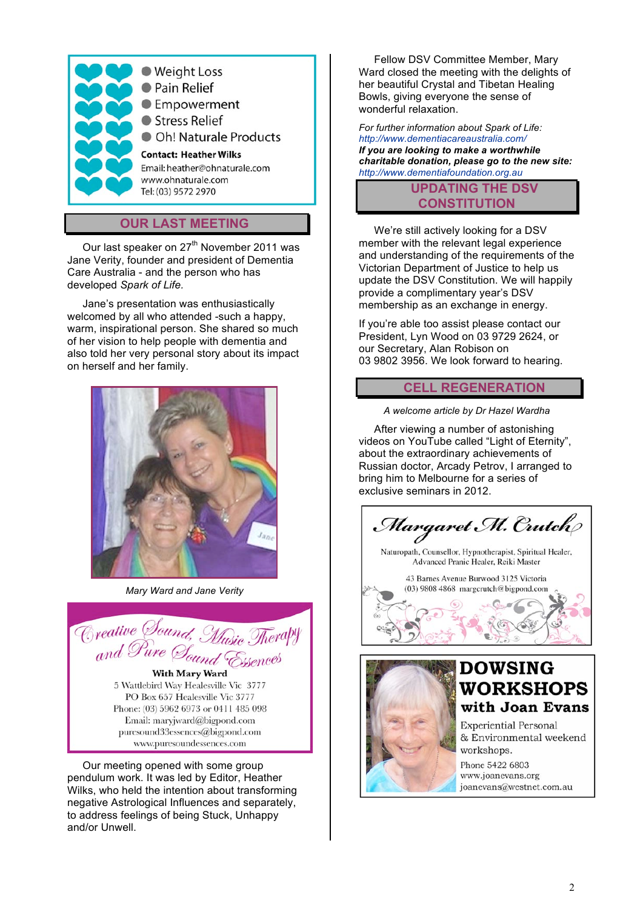

## **OUR LAST MEETING**

Our last speaker on 27<sup>th</sup> November 2011 was Jane Verity, founder and president of Dementia Care Australia - and the person who has developed *Spark of Life.*

Jane's presentation was enthusiastically welcomed by all who attended -such a happy. warm, inspirational person. She shared so much of her vision to help people with dementia and also told her very personal story about its impact on herself and her family.



*Mary Ward and Jane Verity*



5 Wattlebird Way Healesville Vic 3777 PO Box 657 Healesville Vic 3777 Phone: (03) 5962 6973 or 0411 485 098 Email: maryjward@bigpond.com puresound33essences@bigpond.com www.puresoundessences.com

Our meeting opened with some group pendulum work. It was led by Editor, Heather Wilks, who held the intention about transforming negative Astrological Influences and separately, to address feelings of being Stuck, Unhappy and/or Unwell.

Fellow DSV Committee Member, Mary Ward closed the meeting with the delights of her beautiful Crystal and Tibetan Healing Bowls, giving everyone the sense of wonderful relaxation.

*For further information about Spark of Life: http://www.dementiacareaustralia.com/ If you are looking to make a worthwhile charitable donation, please go to the new site: http://www.dementiafoundation.org.au*

## **UPDATING THE DSV CONSTITUTION**

We're still actively looking for a DSV member with the relevant legal experience and understanding of the requirements of the Victorian Department of Justice to help us update the DSV Constitution. We will happily provide a complimentary year's DSV membership as an exchange in energy.

If you're able too assist please contact our President, Lyn Wood on 03 9729 2624, or our Secretary, Alan Robison on 03 9802 3956. We look forward to hearing.

#### **CELL REGENERATION**

*A welcome article by Dr Hazel Wardha*

After viewing a number of astonishing videos on YouTube called "Light of Eternity", about the extraordinary achievements of Russian doctor, Arcady Petrov, I arranged to bring him to Melbourne for a series of exclusive seminars in 2012.

Margaret M. Crutch

Naturopath, Counsellor, Hypnotherapist, Spiritual Healer, Advanced Pranic Healer, Reiki Master

43 Barnes Avenue Burwood 3125 Victoria (03) 9808 4868 margcrutch@bigpond.com



## **DOWSING** WORKSHOPS with Joan Evans

**Experiential Personal** & Environmental weekend workshops.

Phone 5422 6803 www.joanevans.org joanevans@westnet.com.au